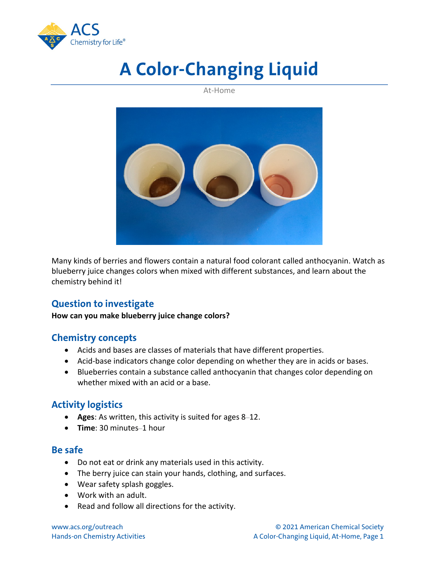

# **A Color-Changing Liquid**

At-Home



Many kinds of berries and flowers contain a natural food colorant called anthocyanin. Watch as blueberry juice changes colors when mixed with different substances, and learn about the chemistry behind it!

# **Question to investigate**

**How can you make blueberry juice change colors?**

## **Chemistry concepts**

- Acids and bases are classes of materials that have different properties.
- Acid-base indicators change color depending on whether they are in acids or bases.
- Blueberries contain a substance called anthocyanin that changes color depending on whether mixed with an acid or a base.

# **Activity logistics**

- **Ages**: As written, this activity is suited for ages 8–12.
- **Time**: 30 minutes–1 hour

#### **Be safe**

- Do not eat or drink any materials used in this activity.
- The berry juice can stain your hands, clothing, and surfaces.
- Wear safety splash goggles.
- Work with an adult.
- Read and follow all directions for the activity.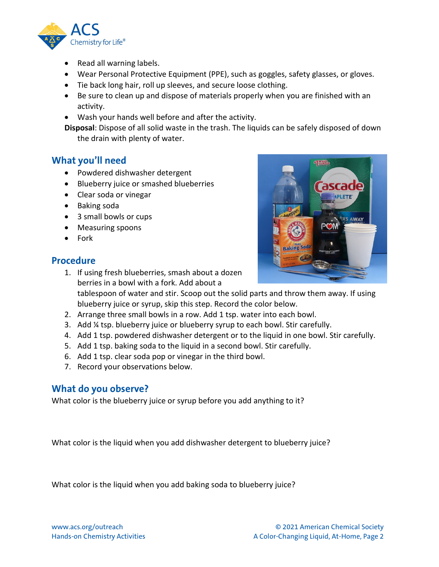

- Read all warning labels.
- Wear Personal Protective Equipment (PPE), such as goggles, safety glasses, or gloves.
- Tie back long hair, roll up sleeves, and secure loose clothing.
- Be sure to clean up and dispose of materials properly when you are finished with an activity.
- Wash your hands well before and after the activity.

**Disposal**: Dispose of all solid waste in the trash. The liquids can be safely disposed of down the drain with plenty of water.

#### **What you'll need**

- Powdered dishwasher detergent
- Blueberry juice or smashed blueberries
- Clear soda or vinegar
- Baking soda
- 3 small bowls or cups
- Measuring spoons
- Fork

#### **Procedure**

- #1 RANDE **RS AWAY**
- berries in a bowl with a fork. Add about a tablespoon of water and stir. Scoop out the solid parts and throw them away. If using blueberry juice or syrup, skip this step. Record the color below.
- 2. Arrange three small bowls in a row. Add 1 tsp. water into each bowl.
- 3. Add ¼ tsp. blueberry juice or blueberry syrup to each bowl. Stir carefully.
- 4. Add 1 tsp. powdered dishwasher detergent or to the liquid in one bowl. Stir carefully.
- 5. Add 1 tsp. baking soda to the liquid in a second bowl. Stir carefully.
- 6. Add 1 tsp. clear soda pop or vinegar in the third bowl.

1. If using fresh blueberries, smash about a dozen

7. Record your observations below.

#### **What do you observe?**

What color is the blueberry juice or syrup before you add anything to it?

What color is the liquid when you add dishwasher detergent to blueberry juice?

What color is the liquid when you add baking soda to blueberry juice?